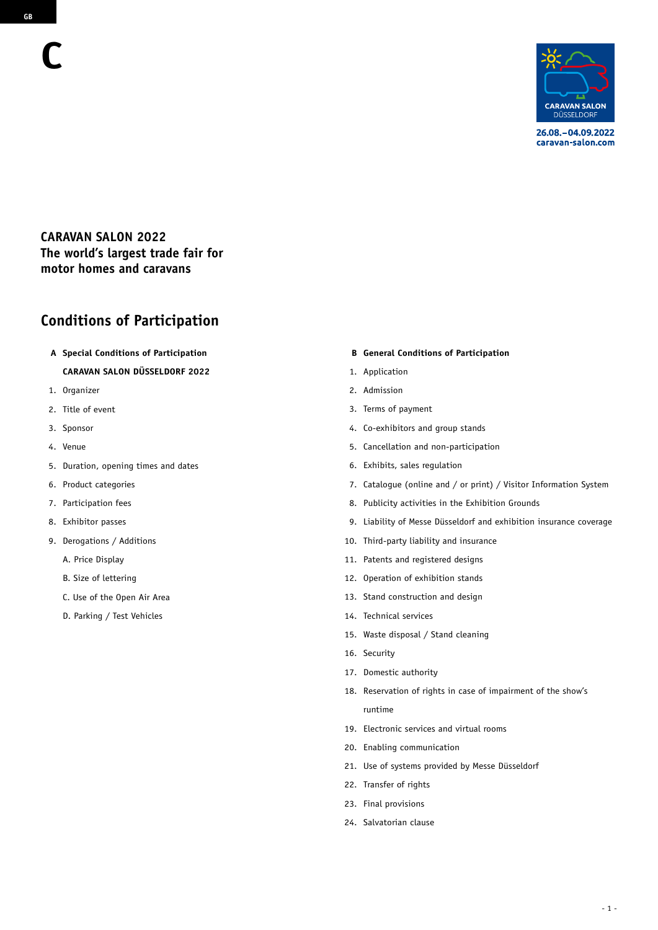

26.08. - 04.09.2022 caravan-salon.com

### **CARAVAN SALON 2022 The world's largest trade fair for motor homes and caravans**

# **Conditions of Participation**

**A Special Conditions of Participation** 

### **CARAVAN SALON DÜSSELDORF 2022**

- 1. Organizer
- 2. Title of event
- 3. Sponsor
- 4. Venue
- 5. Duration, opening times and dates
- 6. Product categories
- 7. Participation fees
- 8. Exhibitor passes
- 9. Derogations / Additions
	- A. Price Display
	- B. Size of lettering
	- C. Use of the Open Air Area
	- D. Parking / Test Vehicles

#### **B General Conditions of Participation**

- 1. Application
- 2. Admission
- 3. Terms of payment
- 4. Co-exhibitors and group stands
- 5. Cancellation and non-participation
- 6. Exhibits, sales regulation
- 7. Catalogue (online and / or print) / Visitor Information System
- 8. Publicity activities in the Exhibition Grounds
- 9. Liability of Messe Düsseldorf and exhibition insurance coverage
- 10. Third-party liability and insurance
- 11. Patents and registered designs
- 12. Operation of exhibition stands
- 13. Stand construction and design
- 14. Technical services
- 15. Waste disposal / Stand cleaning
- 16. Security
- 17. Domestic authority
- 18. Reservation of rights in case of impairment of the show's runtime
- 19. Electronic services and virtual rooms
- 20. Enabling communication
- 21. Use of systems provided by Messe Düsseldorf
- 22. Transfer of rights
- 23. Final provisions
- 24. Salvatorian clause

**C**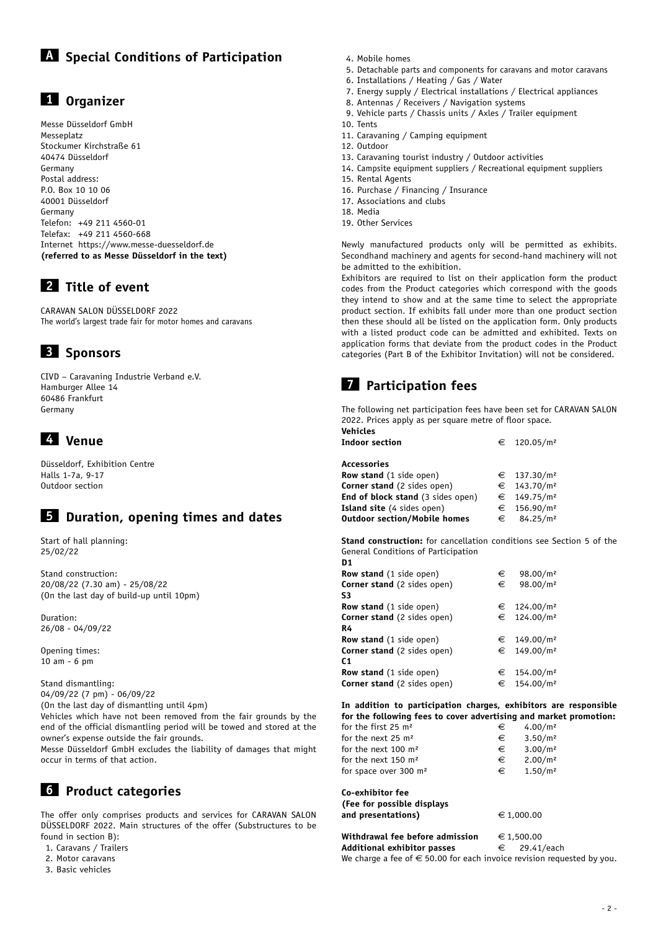# **1 Organizer**

Messe Düsseldorf GmbH Messeplatz Stockumer Kirchstraße 61 40474 Düsseldorf Germany Postal address: P.O. Box 10 10 06 40001 Düsseldorf Germany Telefon: +49 211 4560-01 Telefax: +49 211 4560-668 Internet https://www.messe-duesseldorf.de **(referred to as Messe Düsseldorf in the text)**

# **2 Title of event**

CARAVAN SALON DÜSSELDORF 2022 The world's largest trade fair for motor homes and caravans

# **3 Sponsors**

CIVD – Caravaning Industrie Verband e.V. Hamburger Allee 14 60486 Frankfurt Germany

# **4 Venue**

Düsseldorf, Exhibition Centre Halls 1-7a, 9-17 Outdoor section

## **5 Duration, opening times and dates**

Start of hall planning: 25/02/22

Stand construction: 20/08/22 (7.30 am) - 25/08/22 (On the last day of build-up until 10pm)

Duration: 26/08 - 04/09/22

Opening times: 10 am - 6 pm

Stand dismantling: 04/09/22 (7 pm) - 06/09/22 (On the last day of dismantling until 4pm) Vehicles which have not been removed from the fair grounds by the end of the official dismantling period will be towed and stored at the

owner's expense outside the fair grounds. Messe Düsseldorf GmbH excludes the liability of damages that might

occur in terms of that action.

## **6 Product categories**

The offer only comprises products and services for CARAVAN SALON DÜSSELDORF 2022. Main structures of the offer (Substructures to be found in section B):

- 1. Caravans / Trailers
- 2. Motor caravans
- 3. Basic vehicles
- 4. Mobile homes
- 5. Detachable parts and components for caravans and motor caravans
- 6. Installations / Heating / Gas / Water
- 7. Energy supply / Electrical installations / Electrical appliances
- 8. Antennas / Receivers / Navigation systems
- 9. Vehicle parts / Chassis units / Axles / Trailer equipment
- 10. Tents
- 11. Caravaning / Camping equipment
- 12. Outdoor
- 13. Caravaning tourist industry / Outdoor activities
- 14. Campsite equipment suppliers / Recreational equipment suppliers
- 15. Rental Agents
- 16. Purchase / Financing / Insurance
- 17. Associations and clubs
- 18. Media
- 19. Other Services

Newly manufactured products only will be permitted as exhibits. Secondhand machinery and agents for second-hand machinery will not be admitted to the exhibition.

Exhibitors are required to list on their application form the product codes from the Product categories which correspond with the goods they intend to show and at the same time to select the appropriate product section. If exhibits fall under more than one product section then these should all be listed on the application form. Only products with a listed product code can be admitted and exhibited. Texts on application forms that deviate from the product codes in the Product categories (Part B of the Exhibitor Invitation) will not be considered.

# **7 Participation fees**

The following net participation fees have been set for CARAVAN SALON 2022. Prices apply as per square metre of floor space. **Vehicles**

| venicles                            |   |                         |
|-------------------------------------|---|-------------------------|
| <b>Indoor section</b>               |   | € 120.05/m <sup>2</sup> |
| Accessories                         |   |                         |
| <b>Row stand</b> (1 side open)      |   | € 137.30/m <sup>2</sup> |
| <b>Corner stand</b> (2 sides open)  |   | € 143.70/m <sup>2</sup> |
| End of block stand (3 sides open)   |   | € 149.75/m <sup>2</sup> |
| <b>Island site</b> (4 sides open)   | € | 156.90/m <sup>2</sup>   |
| <b>Outdoor section/Mobile homes</b> | € | 84.25/m <sup>2</sup>    |

**Stand construction:** for cancellation conditions see Section 5 of the General Conditions of Participation

| D <sub>1</sub>                     |   |                         |
|------------------------------------|---|-------------------------|
| <b>Row stand</b> (1 side open)     | € | 98.00/m <sup>2</sup>    |
| <b>Corner stand</b> (2 sides open) | € | 98.00/m <sup>2</sup>    |
| S3                                 |   |                         |
| <b>Row stand</b> (1 side open)     |   | € 124.00/m <sup>2</sup> |
| <b>Corner stand</b> (2 sides open) |   | € 124.00/m <sup>2</sup> |
| R4                                 |   |                         |
| <b>Row stand</b> (1 side open)     |   | € 149.00/m <sup>2</sup> |
| <b>Corner stand</b> (2 sides open) |   | € 149.00/m <sup>2</sup> |
| C <sub>1</sub>                     |   |                         |
| <b>Row stand</b> (1 side open)     |   | € 154.00/m <sup>2</sup> |
| Corner stand (2 sides open)        |   | € 154.00/m <sup>2</sup> |

**In addition to participation charges, exhibitors are responsible for the following fees to cover advertising and market promotion:**

| for the first 25 $m2$             | €          | 4.00/m <sup>2</sup> |
|-----------------------------------|------------|---------------------|
| for the next 25 m <sup>2</sup>    | €          | 3.50/m <sup>2</sup> |
| for the next 100 m <sup>2</sup>   | €          | 3.00/m <sup>2</sup> |
| for the next 150 m <sup>2</sup>   | €          | 2.00/m <sup>2</sup> |
| for space over 300 m <sup>2</sup> | €          | 1.50/m <sup>2</sup> |
| Co-exhibitor fee                  |            |                     |
| (Fee for possible displays        |            |                     |
| and presentations)                | € 1,000.00 |                     |
| Withdrawal fee before admission   | € 1,500.00 |                     |
|                                   |            |                     |

**Additional exhibitor passes**  $\epsilon$  29.41/each We charge a fee of  $\epsilon$  50.00 for each invoice revision requested by you.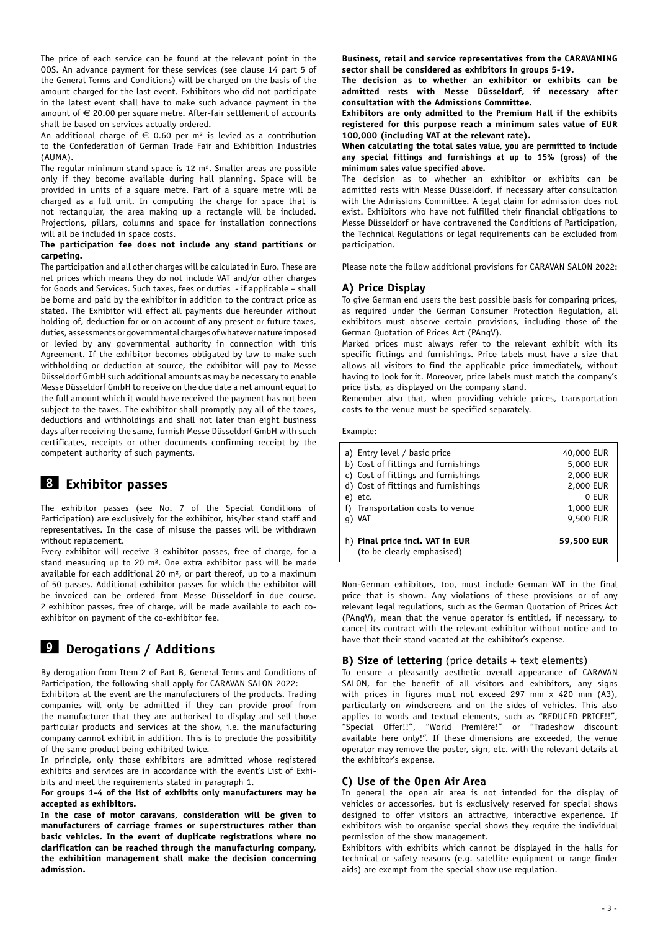The price of each service can be found at the relevant point in the OOS. An advance payment for these services (see clause 14 part 5 of the General Terms and Conditions) will be charged on the basis of the amount charged for the last event. Exhibitors who did not participate in the latest event shall have to make such advance payment in the amount of  $\epsilon$  20.00 per square metre. After-fair settlement of accounts shall be based on services actually ordered.

An additional charge of  $\epsilon$  0.60 per m<sup>2</sup> is levied as a contribution to the Confederation of German Trade Fair and Exhibition Industries (AUMA).

The regular minimum stand space is  $12 \text{ m}^2$ . Smaller areas are possible only if they become available during hall planning. Space will be provided in units of a square metre. Part of a square metre will be charged as a full unit. In computing the charge for space that is not rectangular, the area making up a rectangle will be included. Projections, pillars, columns and space for installation connections will all be included in space costs.

### **The participation fee does not include any stand partitions or carpeting.**

The participation and all other charges will be calculated in Euro. These are net prices which means they do not include VAT and/or other charges for Goods and Services. Such taxes, fees or duties - if applicable – shall be borne and paid by the exhibitor in addition to the contract price as stated. The Exhibitor will effect all payments due hereunder without holding of, deduction for or on account of any present or future taxes, duties, assessments or governmental charges of whatever nature imposed or levied by any governmental authority in connection with this Agreement. If the exhibitor becomes obligated by law to make such withholding or deduction at source, the exhibitor will pay to Messe Düsseldorf GmbH such additional amounts as may be necessary to enable Messe Düsseldorf GmbH to receive on the due date a net amount equal to the full amount which it would have received the payment has not been subject to the taxes. The exhibitor shall promptly pay all of the taxes, deductions and withholdings and shall not later than eight business days after receiving the same, furnish Messe Düsseldorf GmbH with such certificates, receipts or other documents confirming receipt by the competent authority of such payments.

## **8 Exhibitor passes**

The exhibitor passes (see No. 7 of the Special Conditions of Participation) are exclusively for the exhibitor, his/her stand staff and representatives. In the case of misuse the passes will be withdrawn without replacement.

Every exhibitor will receive 3 exhibitor passes, free of charge, for a stand measuring up to 20 m². One extra exhibitor pass will be made available for each additional 20 m², or part thereof, up to a maximum of 50 passes. Additional exhibitor passes for which the exhibitor will be invoiced can be ordered from Messe Düsseldorf in due course. 2 exhibitor passes, free of charge, will be made available to each coexhibitor on payment of the co-exhibitor fee.

# **9 Derogations / Additions**

By derogation from Item 2 of Part B, General Terms and Conditions of Participation, the following shall apply for CARAVAN SALON 2022:

Exhibitors at the event are the manufacturers of the products. Trading companies will only be admitted if they can provide proof from the manufacturer that they are authorised to display and sell those particular products and services at the show, i.e. the manufacturing company cannot exhibit in addition. This is to preclude the possibility of the same product being exhibited twice.

In principle, only those exhibitors are admitted whose registered exhibits and services are in accordance with the event's List of Exhibits and meet the requirements stated in paragraph 1.

**For groups 1-4 of the list of exhibits only manufacturers may be accepted as exhibitors.**

**In the case of motor caravans, consideration will be given to manufacturers of carriage frames or superstructures rather than basic vehicles. In the event of duplicate registrations where no clarification can be reached through the manufacturing company, the exhibition management shall make the decision concerning admission.**

**Business, retail and service representatives from the CARAVANING sector shall be considered as exhibitors in groups 5-19.**

**The decision as to whether an exhibitor or exhibits can be admitted rests with Messe Düsseldorf, if necessary after consultation with the Admissions Committee.** 

**Exhibitors are only admitted to the Premium Hall if the exhibits registered for this purpose reach a minimum sales value of EUR 100,000 (including VAT at the relevant rate).** 

**When calculating the total sales value, you are permitted to include any special fittings and furnishings at up to 15% (gross) of the minimum sales value specified above.**

The decision as to whether an exhibitor or exhibits can be admitted rests with Messe Düsseldorf, if necessary after consultation with the Admissions Committee. A legal claim for admission does not exist. Exhibitors who have not fulfilled their financial obligations to Messe Düsseldorf or have contravened the Conditions of Participation, the Technical Regulations or legal requirements can be excluded from participation.

Please note the follow additional provisions for CARAVAN SALON 2022:

### **A) Price Display**

To give German end users the best possible basis for comparing prices, as required under the German Consumer Protection Regulation, all exhibitors must observe certain provisions, including those of the German Quotation of Prices Act (PAngV).

Marked prices must always refer to the relevant exhibit with its specific fittings and furnishings. Price labels must have a size that allows all visitors to find the applicable price immediately, without having to look for it. Moreover, price labels must match the company's price lists, as displayed on the company stand.

Remember also that, when providing vehicle prices, transportation costs to the venue must be specified separately.

#### Example:

| a) Entry level / basic price                                  | 40,000 EUR |
|---------------------------------------------------------------|------------|
| b) Cost of fittings and furnishings                           | 5,000 EUR  |
| c) Cost of fittings and furnishings                           | 2,000 EUR  |
| d) Cost of fittings and furnishings                           | 2,000 EUR  |
| e) etc.                                                       | 0 EUR      |
| f) Transportation costs to venue                              | 1,000 EUR  |
| q) VAT                                                        | 9,500 EUR  |
| h) Final price incl. VAT in EUR<br>(to be clearly emphasised) | 59,500 EUR |

Non-German exhibitors, too, must include German VAT in the final price that is shown. Any violations of these provisions or of any relevant legal regulations, such as the German Quotation of Prices Act (PAngV), mean that the venue operator is entitled, if necessary, to cancel its contract with the relevant exhibitor without notice and to have that their stand vacated at the exhibitor's expense.

### **B) Size of lettering** (price details + text elements)

To ensure a pleasantly aesthetic overall appearance of CARAVAN SALON, for the benefit of all visitors and exhibitors, any signs with prices in figures must not exceed 297 mm x 420 mm (A3), particularly on windscreens and on the sides of vehicles. This also applies to words and textual elements, such as "REDUCED PRICE!!", "Special Offer!!", "World Première!" or "Tradeshow discount available here only!". If these dimensions are exceeded, the venue operator may remove the poster, sign, etc. with the relevant details at the exhibitor's expense.

### **C) Use of the Open Air Area**

In general the open air area is not intended for the display of vehicles or accessories, but is exclusively reserved for special shows designed to offer visitors an attractive, interactive experience. If exhibitors wish to organise special shows they require the individual permission of the show management.

Exhibitors with exhibits which cannot be displayed in the halls for technical or safety reasons (e.g. satellite equipment or range finder aids) are exempt from the special show use regulation.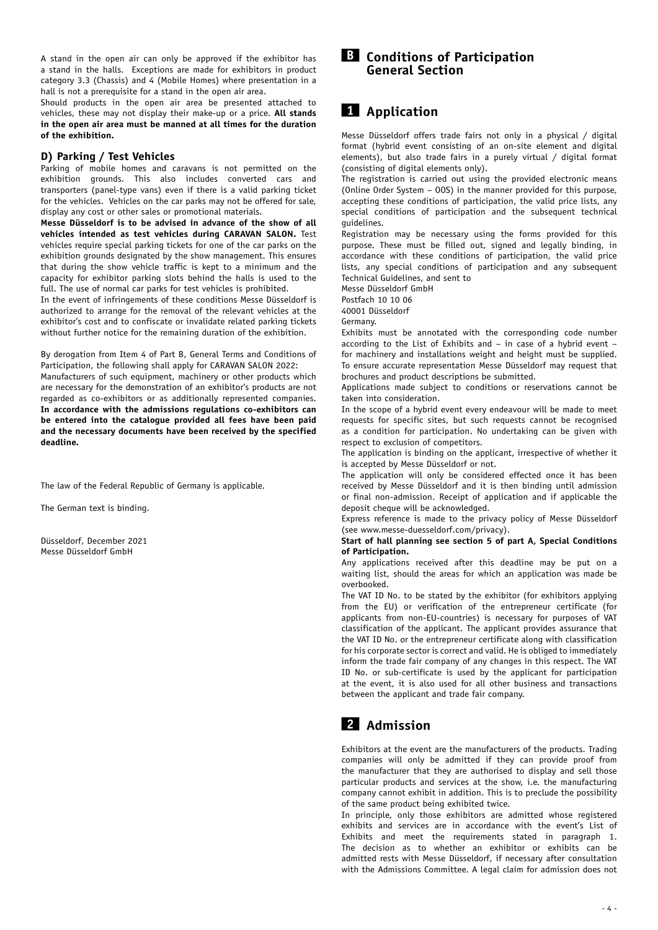A stand in the open air can only be approved if the exhibitor has a stand in the halls. Exceptions are made for exhibitors in product category 3.3 (Chassis) and 4 (Mobile Homes) where presentation in a hall is not a prerequisite for a stand in the open air area.

Should products in the open air area be presented attached to vehicles, these may not display their make-up or a price. **All stands in the open air area must be manned at all times for the duration of the exhibition.**

### **D) Parking / Test Vehicles**

Parking of mobile homes and caravans is not permitted on the exhibition grounds. This also includes converted cars and transporters (panel-type vans) even if there is a valid parking ticket for the vehicles. Vehicles on the car parks may not be offered for sale, display any cost or other sales or promotional materials.

**Messe Düsseldorf is to be advised in advance of the show of all vehicles intended as test vehicles during CARAVAN SALON.** Test vehicles require special parking tickets for one of the car parks on the exhibition grounds designated by the show management. This ensures that during the show vehicle traffic is kept to a minimum and the capacity for exhibitor parking slots behind the halls is used to the full. The use of normal car parks for test vehicles is prohibited.

In the event of infringements of these conditions Messe Düsseldorf is authorized to arrange for the removal of the relevant vehicles at the exhibitor's cost and to confiscate or invalidate related parking tickets without further notice for the remaining duration of the exhibition.

By derogation from Item 4 of Part B, General Terms and Conditions of Participation, the following shall apply for CARAVAN SALON 2022:

Manufacturers of such equipment, machinery or other products which are necessary for the demonstration of an exhibitor's products are not regarded as co-exhibitors or as additionally represented companies. **In accordance with the admissions regulations co-exhibitors can be entered into the catalogue provided all fees have been paid and the necessary documents have been received by the specified deadline.** 

The law of the Federal Republic of Germany is applicable.

The German text is binding.

Düsseldorf, December 2021 Messe Düsseldorf GmbH

### **B Conditions of Participation General Section**

## **1 Application**

Messe Düsseldorf offers trade fairs not only in a physical / digital format (hybrid event consisting of an on-site element and digital elements), but also trade fairs in a purely virtual / digital format (consisting of digital elements only).

The registration is carried out using the provided electronic means (Online Order System – OOS) in the manner provided for this purpose, accepting these conditions of participation, the valid price lists, any special conditions of participation and the subsequent technical guidelines.

Registration may be necessary using the forms provided for this purpose. These must be filled out, signed and legally binding, in accordance with these conditions of participation, the valid price lists, any special conditions of participation and any subsequent Technical Guidelines, and sent to

Messe Düsseldorf GmbH

Postfach 10 10 06

40001 Düsseldorf

Germany.

Exhibits must be annotated with the corresponding code number according to the List of Exhibits and – in case of a hybrid event – for machinery and installations weight and height must be supplied. To ensure accurate representation Messe Düsseldorf may request that brochures and product descriptions be submitted.

Applications made subject to conditions or reservations cannot be taken into consideration.

In the scope of a hybrid event every endeavour will be made to meet requests for specific sites, but such requests cannot be recognised as a condition for participation. No undertaking can be given with respect to exclusion of competitors.

The application is binding on the applicant, irrespective of whether it is accepted by Messe Düsseldorf or not.

The application will only be considered effected once it has been received by Messe Düsseldorf and it is then binding until admission or final non-admission. Receipt of application and if applicable the deposit cheque will be acknowledged.

Express reference is made to the privacy policy of Messe Düsseldorf (see www.messe-duesseldorf.com/privacy).

#### **Start of hall planning see section 5 of part A, Special Conditions of Participation.**

Any applications received after this deadline may be put on a waiting list, should the areas for which an application was made be overbooked.

The VAT ID No. to be stated by the exhibitor (for exhibitors applying from the EU) or verification of the entrepreneur certificate (for applicants from non-EU-countries) is necessary for purposes of VAT classification of the applicant. The applicant provides assurance that the VAT ID No. or the entrepreneur certificate along with classification for his corporate sector is correct and valid. He is obliged to immediately inform the trade fair company of any changes in this respect. The VAT ID No. or sub-certificate is used by the applicant for participation at the event, it is also used for all other business and transactions between the applicant and trade fair company.

## **2 Admission**

Exhibitors at the event are the manufacturers of the products. Trading companies will only be admitted if they can provide proof from the manufacturer that they are authorised to display and sell those particular products and services at the show, i.e. the manufacturing company cannot exhibit in addition. This is to preclude the possibility of the same product being exhibited twice.

In principle, only those exhibitors are admitted whose registered exhibits and services are in accordance with the event's List of Exhibits and meet the requirements stated in paragraph 1. The decision as to whether an exhibitor or exhibits can be admitted rests with Messe Düsseldorf, if necessary after consultation with the Admissions Committee. A legal claim for admission does not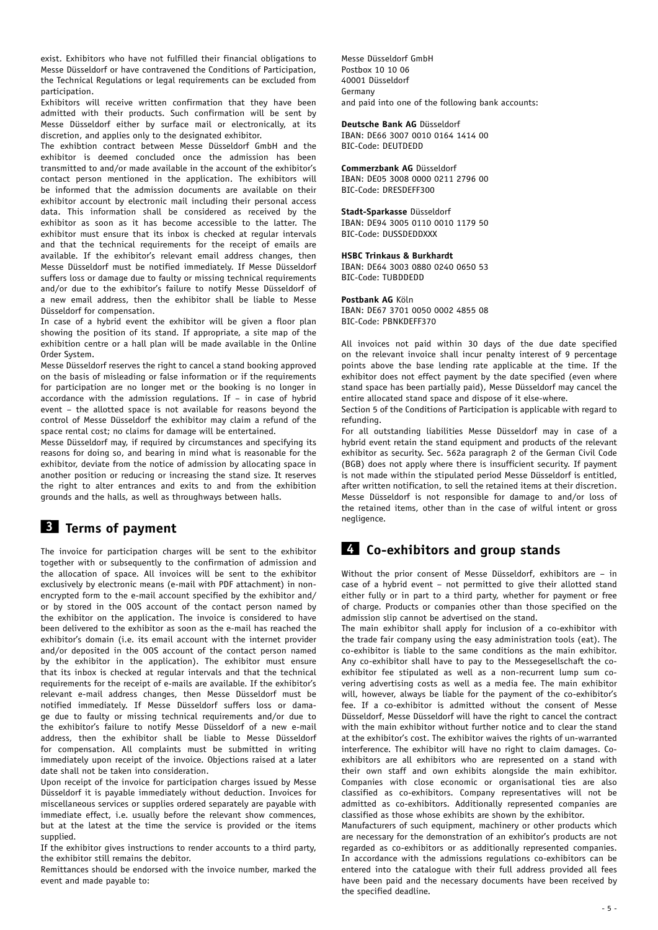exist. Exhibitors who have not fulfilled their financial obligations to Messe Düsseldorf or have contravened the Conditions of Participation, the Technical Regulations or legal requirements can be excluded from participation.

Exhibitors will receive written confirmation that they have been admitted with their products. Such confirmation will be sent by Messe Düsseldorf either by surface mail or electronically, at its discretion, and applies only to the designated exhibitor.

The exhibtion contract between Messe Düsseldorf GmbH and the exhibitor is deemed concluded once the admission has been transmitted to and/or made available in the account of the exhibitor's contact person mentioned in the application. The exhibitors will be informed that the admission documents are available on their exhibitor account by electronic mail including their personal access data. This information shall be considered as received by the exhibitor as soon as it has become accessible to the latter. The exhibitor must ensure that its inbox is checked at regular intervals and that the technical requirements for the receipt of emails are available. If the exhibitor's relevant email address changes, then Messe Düsseldorf must be notified immediately. If Messe Düsseldorf suffers loss or damage due to faulty or missing technical requirements and/or due to the exhibitor's failure to notify Messe Düsseldorf of a new email address, then the exhibitor shall be liable to Messe Düsseldorf for compensation.

In case of a hybrid event the exhibitor will be given a floor plan showing the position of its stand. If appropriate, a site map of the exhibition centre or a hall plan will be made available in the Online Order System.

Messe Düsseldorf reserves the right to cancel a stand booking approved on the basis of misleading or false information or if the requirements for participation are no longer met or the booking is no longer in accordance with the admission regulations. If  $-$  in case of hybrid event – the allotted space is not available for reasons beyond the control of Messe Düsseldorf the exhibitor may claim a refund of the space rental cost; no claims for damage will be entertained.

Messe Düsseldorf may, if required by circumstances and specifying its reasons for doing so, and bearing in mind what is reasonable for the exhibitor, deviate from the notice of admission by allocating space in another position or reducing or increasing the stand size. It reserves the right to alter entrances and exits to and from the exhibition grounds and the halls, as well as throughways between halls.

## **3 Terms of payment**

The invoice for participation charges will be sent to the exhibitor together with or subsequently to the confirmation of admission and the allocation of space. All invoices will be sent to the exhibitor exclusively by electronic means (e-mail with PDF attachment) in nonencrypted form to the e-mail account specified by the exhibitor and/ or by stored in the OOS account of the contact person named by the exhibitor on the application. The invoice is considered to have been delivered to the exhibitor as soon as the e-mail has reached the exhibitor's domain (i.e. its email account with the internet provider and/or deposited in the OOS account of the contact person named by the exhibitor in the application). The exhibitor must ensure that its inbox is checked at regular intervals and that the technical requirements for the receipt of e-mails are available. If the exhibitor's relevant e-mail address changes, then Messe Düsseldorf must be notified immediately. If Messe Düsseldorf suffers loss or damage due to faulty or missing technical requirements and/or due to the exhibitor's failure to notify Messe Düsseldorf of a new e-mail address, then the exhibitor shall be liable to Messe Düsseldorf for compensation. All complaints must be submitted in writing immediately upon receipt of the invoice. Objections raised at a later date shall not be taken into consideration.

Upon receipt of the invoice for participation charges issued by Messe Düsseldorf it is payable immediately without deduction. Invoices for miscellaneous services or supplies ordered separately are payable with immediate effect, i.e. usually before the relevant show commences, but at the latest at the time the service is provided or the items supplied.

If the exhibitor gives instructions to render accounts to a third party, the exhibitor still remains the debitor.

Remittances should be endorsed with the invoice number, marked the event and made payable to:

Messe Düsseldorf GmbH Postbox 10 10 06 40001 Düsseldorf Germany and paid into one of the following bank accounts:

#### **Deutsche Bank AG** Düsseldorf

IBAN: DE66 3007 0010 0164 1414 00 BIC-Code: DEUTDEDD

### **Commerzbank AG** Düsseldorf

IBAN: DE05 3008 0000 0211 2796 00 BIC-Code: DRESDEFF300

#### **Stadt-Sparkasse** Düsseldorf

IBAN: DE94 3005 0110 0010 1179 50 BIC-Code: DUSSDEDDXXX

#### **HSBC Trinkaus & Burkhardt**

IBAN: DE64 3003 0880 0240 0650 53 BIC-Code: TUBDDEDD

#### **Postbank AG** Köln

IBAN: DE67 3701 0050 0002 4855 08 BIC-Code: PBNKDEFF370

All invoices not paid within 30 days of the due date specified on the relevant invoice shall incur penalty interest of 9 percentage points above the base lending rate applicable at the time. If the exhibitor does not effect payment by the date specified (even where stand space has been partially paid), Messe Düsseldorf may cancel the entire allocated stand space and dispose of it else-where.

Section 5 of the Conditions of Participation is applicable with regard to refunding.

For all outstanding liabilities Messe Düsseldorf may in case of a hybrid event retain the stand equipment and products of the relevant exhibitor as security. Sec. 562a paragraph 2 of the German Civil Code (BGB) does not apply where there is insufficient security. If payment is not made within the stipulated period Messe Düsseldorf is entitled, after written notification, to sell the retained items at their discretion. Messe Düsseldorf is not responsible for damage to and/or loss of the retained items, other than in the case of wilful intent or gross negligence

### **4 Co-exhibitors and group stands**

Without the prior consent of Messe Düsseldorf, exhibitors are – in case of a hybrid event – not permitted to give their allotted stand either fully or in part to a third party, whether for payment or free of charge. Products or companies other than those specified on the admission slip cannot be advertised on the stand.

The main exhibitor shall apply for inclusion of a co-exhibitor with the trade fair company using the easy administration tools (eat). The co-exhibitor is liable to the same conditions as the main exhibitor. Any co-exhibitor shall have to pay to the Messegesellschaft the coexhibitor fee stipulated as well as a non-recurrent lump sum covering advertising costs as well as a media fee. The main exhibitor will, however, always be liable for the payment of the co-exhibitor's fee. If a co-exhibitor is admitted without the consent of Messe Düsseldorf, Messe Düsseldorf will have the right to cancel the contract with the main exhibitor without further notice and to clear the stand at the exhibitor's cost. The exhibitor waives the rights of un-warranted interference. The exhibitor will have no right to claim damages. Coexhibitors are all exhibitors who are represented on a stand with their own staff and own exhibits alongside the main exhibitor. Companies with close economic or organisational ties are also classified as co-exhibitors. Company representatives will not be admitted as co-exhibitors. Additionally represented companies are classified as those whose exhibits are shown by the exhibitor.

Manufacturers of such equipment, machinery or other products which are necessary for the demonstration of an exhibitor's products are not regarded as co-exhibitors or as additionally represented companies. In accordance with the admissions regulations co-exhibitors can be entered into the catalogue with their full address provided all fees have been paid and the necessary documents have been received by the specified deadline.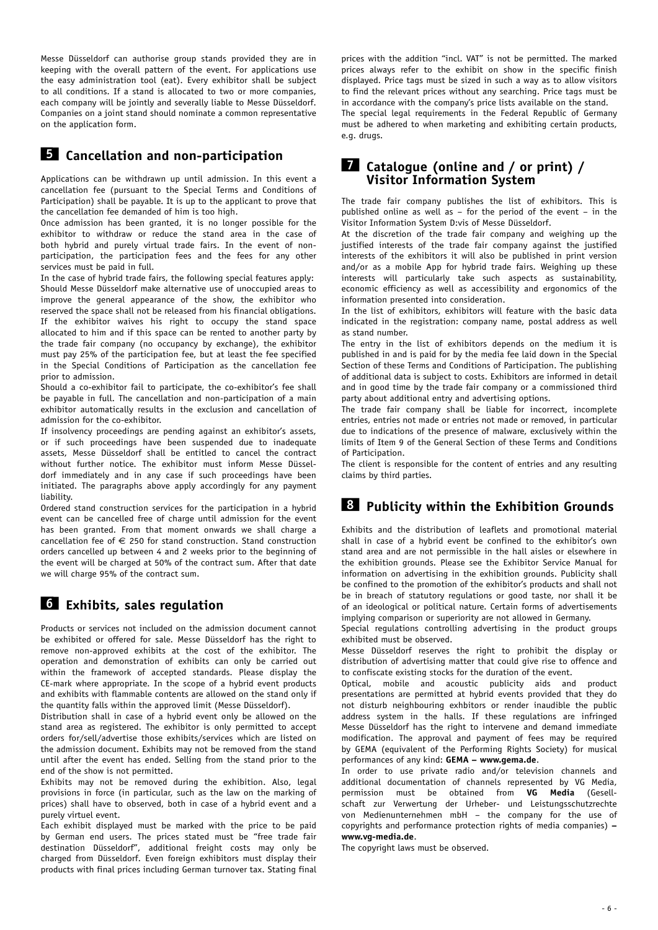Messe Düsseldorf can authorise group stands provided they are in keeping with the overall pattern of the event. For applications use the easy administration tool (eat). Every exhibitor shall be subject to all conditions. If a stand is allocated to two or more companies, each company will be jointly and severally liable to Messe Düsseldorf. Companies on a joint stand should nominate a common representative on the application form.

### **5 Cancellation and non-participation**

Applications can be withdrawn up until admission. In this event a cancellation fee (pursuant to the Special Terms and Conditions of Participation) shall be payable. It is up to the applicant to prove that the cancellation fee demanded of him is too high.

Once admission has been granted, it is no longer possible for the exhibitor to withdraw or reduce the stand area in the case of both hybrid and purely virtual trade fairs. In the event of nonparticipation, the participation fees and the fees for any other services must be paid in full.

In the case of hybrid trade fairs, the following special features apply: Should Messe Düsseldorf make alternative use of unoccupied areas to improve the general appearance of the show, the exhibitor who reserved the space shall not be released from his financial obligations. If the exhibitor waives his right to occupy the stand space allocated to him and if this space can be rented to another party by the trade fair company (no occupancy by exchange), the exhibitor must pay 25% of the participation fee, but at least the fee specified in the Special Conditions of Participation as the cancellation fee prior to admission.

Should a co-exhibitor fail to participate, the co-exhibitor's fee shall be payable in full. The cancellation and non-participation of a main exhibitor automatically results in the exclusion and cancellation of admission for the co-exhibitor.

If insolvency proceedings are pending against an exhibitor's assets, or if such proceedings have been suspended due to inadequate assets, Messe Düsseldorf shall be entitled to cancel the contract without further notice. The exhibitor must inform Messe Düsseldorf immediately and in any case if such proceedings have been initiated. The paragraphs above apply accordingly for any payment liability.

Ordered stand construction services for the participation in a hybrid event can be cancelled free of charge until admission for the event has been granted. From that moment onwards we shall charge a cancellation fee of  $\epsilon$  250 for stand construction. Stand construction orders cancelled up between 4 and 2 weeks prior to the beginning of the event will be charged at 50% of the contract sum. After that date we will charge 95% of the contract sum.

## **6 Exhibits, sales regulation**

Products or services not included on the admission document cannot be exhibited or offered for sale. Messe Düsseldorf has the right to remove non-approved exhibits at the cost of the exhibitor. The operation and demonstration of exhibits can only be carried out within the framework of accepted standards. Please display the CE-mark where appropriate. In the scope of a hybrid event products and exhibits with flammable contents are allowed on the stand only if the quantity falls within the approved limit (Messe Düsseldorf).

Distribution shall in case of a hybrid event only be allowed on the stand area as registered. The exhibitor is only permitted to accept orders for/sell/advertise those exhibits/services which are listed on the admission document. Exhibits may not be removed from the stand until after the event has ended. Selling from the stand prior to the end of the show is not permitted.

Exhibits may not be removed during the exhibition. Also, legal provisions in force (in particular, such as the law on the marking of prices) shall have to observed, both in case of a hybrid event and a purely virtuel event.

Each exhibit displayed must be marked with the price to be paid by German end users. The prices stated must be "free trade fair destination Düsseldorf", additional freight costs may only be charged from Düsseldorf. Even foreign exhibitors must display their products with final prices including German turnover tax. Stating final

prices with the addition "incl. VAT" is not be permitted. The marked prices always refer to the exhibit on show in the specific finish displayed. Price tags must be sized in such a way as to allow visitors to find the relevant prices without any searching. Price tags must be in accordance with the company's price lists available on the stand. The special legal requirements in the Federal Republic of Germany

must be adhered to when marketing and exhibiting certain products, e.g. drugs.

### **7 Catalogue (online and / or print) / Visitor Information System**

The trade fair company publishes the list of exhibitors. This is published online as well as – for the period of the event – in the Visitor Information System D:vis of Messe Düsseldorf.

At the discretion of the trade fair company and weighing up the justified interests of the trade fair company against the justified interests of the exhibitors it will also be published in print version and/or as a mobile App for hybrid trade fairs. Weighing up these interests will particularly take such aspects as sustainability, economic efficiency as well as accessibility and ergonomics of the information presented into consideration.

In the list of exhibitors, exhibitors will feature with the basic data indicated in the registration: company name, postal address as well as stand number.

The entry in the list of exhibitors depends on the medium it is published in and is paid for by the media fee laid down in the Special Section of these Terms and Conditions of Participation. The publishing of additional data is subject to costs. Exhibitors are informed in detail and in good time by the trade fair company or a commissioned third party about additional entry and advertising options.

The trade fair company shall be liable for incorrect, incomplete entries, entries not made or entries not made or removed, in particular due to indications of the presence of malware, exclusively within the limits of Item 9 of the General Section of these Terms and Conditions of Participation.

The client is responsible for the content of entries and any resulting claims by third parties.

# **8 Publicity within the Exhibition Grounds**

Exhibits and the distribution of leaflets and promotional material shall in case of a hybrid event be confined to the exhibitor's own stand area and are not permissible in the hall aisles or elsewhere in the exhibition grounds. Please see the Exhibitor Service Manual for information on advertising in the exhibition grounds. Publicity shall be confined to the promotion of the exhibitor's products and shall not be in breach of statutory regulations or good taste, nor shall it be of an ideological or political nature. Certain forms of advertisements implying comparison or superiority are not allowed in Germany.

Special regulations controlling advertising in the product groups exhibited must be observed.

Messe Düsseldorf reserves the right to prohibit the display or distribution of advertising matter that could give rise to offence and to confiscate existing stocks for the duration of the event.

Optical, mobile and acoustic publicity aids and product presentations are permitted at hybrid events provided that they do not disturb neighbouring exhbitors or render inaudible the public address system in the halls. If these regulations are infringed Messe Düsseldorf has the right to intervene and demand immediate modification. The approval and payment of fees may be required by GEMA (equivalent of the Performing Rights Society) for musical performances of any kind: **GEMA – www.gema.de**.

In order to use private radio and/or television channels and additional documentation of channels represented by VG Media, permission must be obtained from **VG Media** (Gesellschaft zur Verwertung der Urheber- und Leistungsschutzrechte von Medienunternehmen mbH – the company for the use of copyrights and performance protection rights of media companies) **– www.vg-media.de**.

The copyright laws must be observed.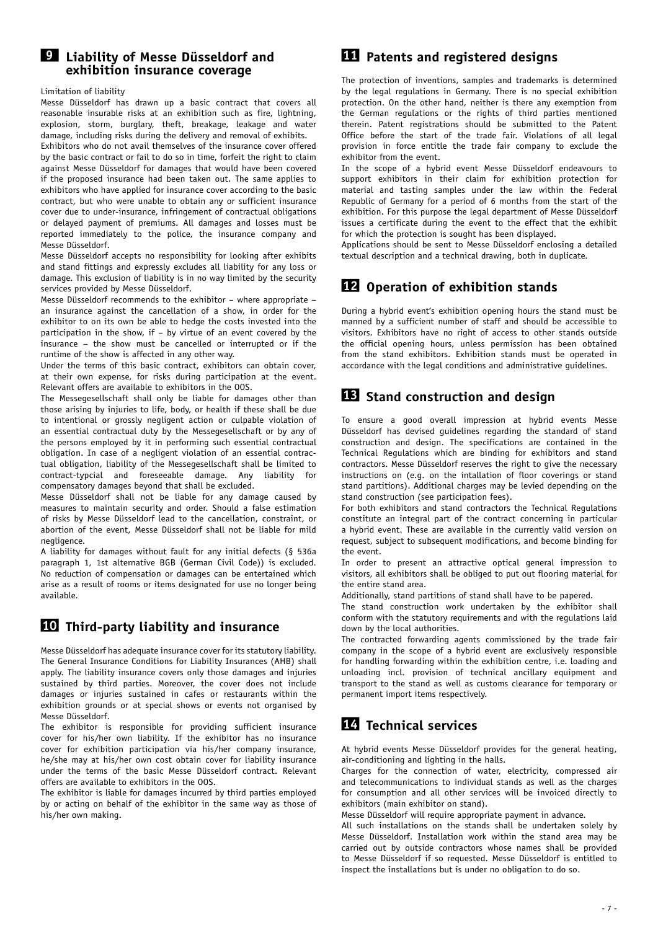### **9 Liability of Messe Düsseldorf and exhibition insurance coverage**

### Limitation of liability

Messe Düsseldorf has drawn up a basic contract that covers all reasonable insurable risks at an exhibition such as fire, lightning, explosion, storm, burglary, theft, breakage, leakage and water damage, including risks during the delivery and removal of exhibits.

Exhibitors who do not avail themselves of the insurance cover offered by the basic contract or fail to do so in time, forfeit the right to claim against Messe Düsseldorf for damages that would have been covered if the proposed insurance had been taken out. The same applies to exhibitors who have applied for insurance cover according to the basic contract, but who were unable to obtain any or sufficient insurance cover due to under-insurance, infringement of contractual obligations or delayed payment of premiums. All damages and losses must be reported immediately to the police, the insurance company and Messe Düsseldorf.

Messe Düsseldorf accepts no responsibility for looking after exhibits and stand fittings and expressly excludes all liability for any loss or damage. This exclusion of liability is in no way limited by the security services provided by Messe Düsseldorf.

Messe Düsseldorf recommends to the exhibitor – where appropriate – an insurance against the cancellation of a show, in order for the exhibitor to on its own be able to hedge the costs invested into the participation in the show, if – by virtue of an event covered by the insurance – the show must be cancelled or interrupted or if the runtime of the show is affected in any other way.

Under the terms of this basic contract, exhibitors can obtain cover, at their own expense, for risks during participation at the event. Relevant offers are available to exhibitors in the OOS.

The Messegesellschaft shall only be liable for damages other than those arising by injuries to life, body, or health if these shall be due to intentional or grossly negligent action or culpable violation of an essential contractual duty by the Messegesellschaft or by any of the persons employed by it in performing such essential contractual obligation. In case of a negligent violation of an essential contractual obligation, liability of the Messegesellschaft shall be limited to contract-typcial and foreseeable damage. Any liability for compensatory damages beyond that shall be excluded.

Messe Düsseldorf shall not be liable for any damage caused by measures to maintain security and order. Should a false estimation of risks by Messe Düsseldorf lead to the cancellation, constraint, or abortion of the event, Messe Düsseldorf shall not be liable for mild negligence.

A liability for damages without fault for any initial defects (§ 536a paragraph 1, 1st alternative BGB (German Civil Code)) is excluded. No reduction of compensation or damages can be entertained which arise as a result of rooms or items designated for use no longer being available.

### **10 Third-party liability and insurance**

Messe Düsseldorf has adequate insurance cover for its statutory liability. The General Insurance Conditions for Liability Insurances (AHB) shall apply. The liability insurance covers only those damages and injuries sustained by third parties. Moreover, the cover does not include damages or injuries sustained in cafes or restaurants within the exhibition grounds or at special shows or events not organised by Messe Düsseldorf.

The exhibitor is responsible for providing sufficient insurance cover for his/her own liability. If the exhibitor has no insurance cover for exhibition participation via his/her company insurance, he/she may at his/her own cost obtain cover for liability insurance under the terms of the basic Messe Düsseldorf contract. Relevant offers are available to exhibitors in the OOS.

The exhibitor is liable for damages incurred by third parties employed by or acting on behalf of the exhibitor in the same way as those of his/her own making.

## **11 Patents and registered designs**

The protection of inventions, samples and trademarks is determined by the legal regulations in Germany. There is no special exhibition protection. On the other hand, neither is there any exemption from the German regulations or the rights of third parties mentioned therein. Patent registrations should be submitted to the Patent Office before the start of the trade fair. Violations of all legal provision in force entitle the trade fair company to exclude the exhibitor from the event.

In the scope of a hybrid event Messe Düsseldorf endeavours to support exhibitors in their claim for exhibition protection for material and tasting samples under the law within the Federal Republic of Germany for a period of 6 months from the start of the exhibition. For this purpose the legal department of Messe Düsseldorf issues a certificate during the event to the effect that the exhibit for which the protection is sought has been displayed.

Applications should be sent to Messe Düsseldorf enclosing a detailed textual description and a technical drawing, both in duplicate.

### **12 Operation of exhibition stands**

During a hybrid event's exhibition opening hours the stand must be manned by a sufficient number of staff and should be accessible to visitors. Exhibitors have no right of access to other stands outside the official opening hours, unless permission has been obtained from the stand exhibitors. Exhibition stands must be operated in accordance with the legal conditions and administrative guidelines.

## **13 Stand construction and design**

To ensure a good overall impression at hybrid events Messe Düsseldorf has devised guidelines regarding the standard of stand construction and design. The specifications are contained in the Technical Regulations which are binding for exhibitors and stand contractors. Messe Düsseldorf reserves the right to give the necessary instructions on (e.g. on the intallation of floor coverings or stand stand partitions). Additional charges may be levied depending on the stand construction (see participation fees).

For both exhibitors and stand contractors the Technical Regulations constitute an integral part of the contract concerning in particular a hybrid event. These are available in the currently valid version on request, subject to subsequent modifications, and become binding for the event.

In order to present an attractive optical general impression to visitors, all exhibitors shall be obliged to put out flooring material for the entire stand area.

Additionally, stand partitions of stand shall have to be papered.

The stand construction work undertaken by the exhibitor shall conform with the statutory requirements and with the regulations laid down by the local authorities.

The contracted forwarding agents commissioned by the trade fair company in the scope of a hybrid event are exclusively responsible for handling forwarding within the exhibition centre, i.e. loading and unloading incl. provision of technical ancillary equipment and transport to the stand as well as customs clearance for temporary or permanent import items respectively.

## **14 Technical services**

At hybrid events Messe Düsseldorf provides for the general heating, air-conditioning and lighting in the halls.

Charges for the connection of water, electricity, compressed air and telecommunications to individual stands as well as the charges for consumption and all other services will be invoiced directly to exhibitors (main exhibitor on stand).

Messe Düsseldorf will require appropriate payment in advance.

All such installations on the stands shall be undertaken solely by Messe Düsseldorf. Installation work within the stand area may be carried out by outside contractors whose names shall be provided to Messe Düsseldorf if so requested. Messe Düsseldorf is entitled to inspect the installations but is under no obligation to do so.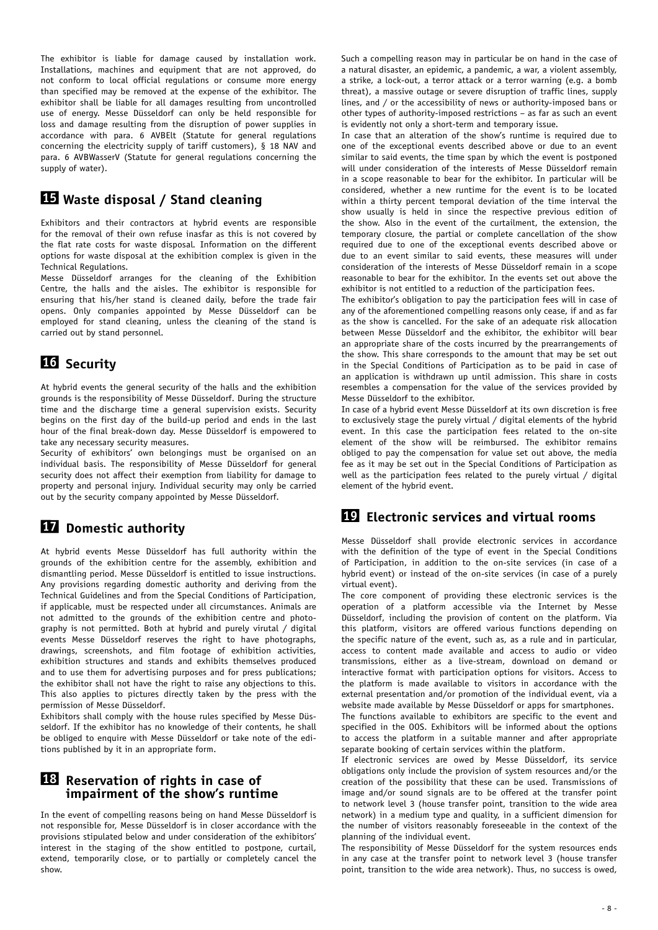The exhibitor is liable for damage caused by installation work. Installations, machines and equipment that are not approved, do not conform to local official regulations or consume more energy than specified may be removed at the expense of the exhibitor. The exhibitor shall be liable for all damages resulting from uncontrolled use of energy. Messe Düsseldorf can only be held responsible for loss and damage resulting from the disruption of power supplies in accordance with para. 6 AVBElt (Statute for general regulations concerning the electricity supply of tariff customers), § 18 NAV and para. 6 AVBWasserV (Statute for general regulations concerning the supply of water).

### **15 Waste disposal / Stand cleaning**

Exhibitors and their contractors at hybrid events are responsible for the removal of their own refuse inasfar as this is not covered by the flat rate costs for waste disposal*.* Information on the different options for waste disposal at the exhibition complex is given in the Technical Regulations.

Messe Düsseldorf arranges for the cleaning of the Exhibition Centre, the halls and the aisles. The exhibitor is responsible for ensuring that his/her stand is cleaned daily, before the trade fair opens. Only companies appointed by Messe Düsseldorf can be employed for stand cleaning, unless the cleaning of the stand is carried out by stand personnel.

# **16 Security**

At hybrid events the general security of the halls and the exhibition grounds is the responsibility of Messe Düsseldorf. During the structure time and the discharge time a general supervision exists. Security begins on the first day of the build-up period and ends in the last hour of the final break-down day. Messe Düsseldorf is empowered to take any necessary security measures.

Security of exhibitors' own belongings must be organised on an individual basis. The responsibility of Messe Düsseldorf for general security does not affect their exemption from liability for damage to property and personal injury. Individual security may only be carried out by the security company appointed by Messe Düsseldorf.

# **17 Domestic authority**

At hybrid events Messe Düsseldorf has full authority within the grounds of the exhibition centre for the assembly, exhibition and dismantling period. Messe Düsseldorf is entitled to issue instructions. Any provisions regarding domestic authority and deriving from the Technical Guidelines and from the Special Conditions of Participation, if applicable, must be respected under all circumstances. Animals are not admitted to the grounds of the exhibition centre and photography is not permitted. Both at hybrid and purely virutal / digital events Messe Düsseldorf reserves the right to have photographs, drawings, screenshots, and film footage of exhibition activities, exhibition structures and stands and exhibits themselves produced and to use them for advertising purposes and for press publications; the exhibitor shall not have the right to raise any objections to this. This also applies to pictures directly taken by the press with the permission of Messe Düsseldorf.

Exhibitors shall comply with the house rules specified by Messe Düsseldorf. If the exhibitor has no knowledge of their contents, he shall be obliged to enquire with Messe Düsseldorf or take note of the editions published by it in an appropriate form.

### **18 Reservation of rights in case of impairment of the show's runtime**

In the event of compelling reasons being on hand Messe Düsseldorf is not responsible for, Messe Düsseldorf is in closer accordance with the provisions stipulated below and under consideration of the exhibitors' interest in the staging of the show entitled to postpone, curtail, extend, temporarily close, or to partially or completely cancel the show.

Such a compelling reason may in particular be on hand in the case of a natural disaster, an epidemic, a pandemic, a war, a violent assembly, a strike, a lock-out, a terror attack or a terror warning (e.g. a bomb threat), a massive outage or severe disruption of traffic lines, supply lines, and / or the accessibility of news or authority-imposed bans or other types of authority-imposed restrictions – as far as such an event is evidently not only a short-term and temporary issue.

In case that an alteration of the show's runtime is required due to one of the exceptional events described above or due to an event similar to said events, the time span by which the event is postponed will under consideration of the interests of Messe Düsseldorf remain in a scope reasonable to bear for the exhibitor. In particular will be considered, whether a new runtime for the event is to be located within a thirty percent temporal deviation of the time interval the show usually is held in since the respective previous edition of the show. Also in the event of the curtailment, the extension, the temporary closure, the partial or complete cancellation of the show required due to one of the exceptional events described above or due to an event similar to said events, these measures will under consideration of the interests of Messe Düsseldorf remain in a scope reasonable to bear for the exhibitor. In the events set out above the exhibitor is not entitled to a reduction of the participation fees.

The exhibitor's obligation to pay the participation fees will in case of any of the aforementioned compelling reasons only cease, if and as far as the show is cancelled. For the sake of an adequate risk allocation between Messe Düsseldorf and the exhibitor, the exhibitor will bear an appropriate share of the costs incurred by the prearrangements of the show. This share corresponds to the amount that may be set out in the Special Conditions of Participation as to be paid in case of an application is withdrawn up until admission. This share in costs resembles a compensation for the value of the services provided by Messe Düsseldorf to the exhibitor.

In case of a hybrid event Messe Düsseldorf at its own discretion is free to exclusively stage the purely virtual / digital elements of the hybrid event. In this case the participation fees related to the on-site element of the show will be reimbursed. The exhibitor remains obliged to pay the compensation for value set out above, the media fee as it may be set out in the Special Conditions of Participation as well as the participation fees related to the purely virtual / digital element of the hybrid event.

### **19 Electronic services and virtual rooms**

Messe Düsseldorf shall provide electronic services in accordance with the definition of the type of event in the Special Conditions of Participation, in addition to the on-site services (in case of a hybrid event) or instead of the on-site services (in case of a purely virtual event).

The core component of providing these electronic services is the operation of a platform accessible via the Internet by Messe Düsseldorf, including the provision of content on the platform. Via this platform, visitors are offered various functions depending on the specific nature of the event, such as, as a rule and in particular, access to content made available and access to audio or video transmissions, either as a live-stream, download on demand or interactive format with participation options for visitors. Access to the platform is made available to visitors in accordance with the external presentation and/or promotion of the individual event, via a website made available by Messe Düsseldorf or apps for smartphones. The functions available to exhibitors are specific to the event and specified in the OOS. Exhibitors will be informed about the options to access the platform in a suitable manner and after appropriate separate booking of certain services within the platform.

If electronic services are owed by Messe Düsseldorf, its service obligations only include the provision of system resources and/or the creation of the possibility that these can be used. Transmissions of image and/or sound signals are to be offered at the transfer point to network level 3 (house transfer point, transition to the wide area network) in a medium type and quality, in a sufficient dimension for the number of visitors reasonably foreseeable in the context of the planning of the individual event.

The responsibility of Messe Düsseldorf for the system resources ends in any case at the transfer point to network level 3 (house transfer point, transition to the wide area network). Thus, no success is owed,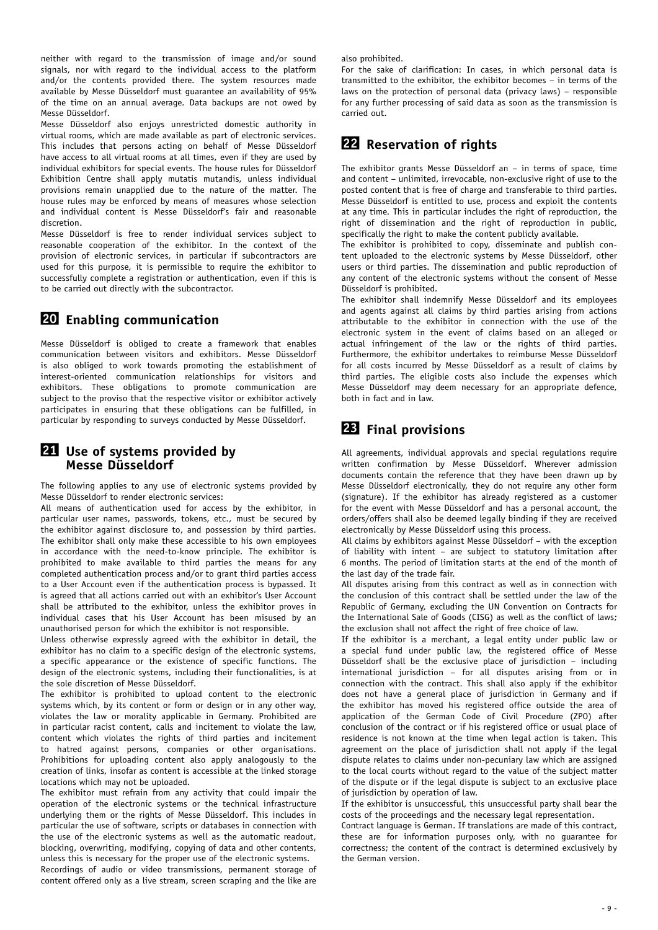neither with regard to the transmission of image and/or sound signals, nor with regard to the individual access to the platform and/or the contents provided there. The system resources made available by Messe Düsseldorf must guarantee an availability of 95% of the time on an annual average. Data backups are not owed by Messe Düsseldorf.

Messe Düsseldorf also enjoys unrestricted domestic authority in virtual rooms, which are made available as part of electronic services. This includes that persons acting on behalf of Messe Düsseldorf have access to all virtual rooms at all times, even if they are used by individual exhibitors for special events. The house rules for Düsseldorf Exhibition Centre shall apply mutatis mutandis, unless individual provisions remain unapplied due to the nature of the matter. The house rules may be enforced by means of measures whose selection and individual content is Messe Düsseldorf's fair and reasonable discretion.

Messe Düsseldorf is free to render individual services subject to reasonable cooperation of the exhibitor. In the context of the provision of electronic services, in particular if subcontractors are used for this purpose, it is permissible to require the exhibitor to successfully complete a registration or authentication, even if this is to be carried out directly with the subcontractor.

## **20 Enabling communication**

Messe Düsseldorf is obliged to create a framework that enables communication between visitors and exhibitors. Messe Düsseldorf is also obliged to work towards promoting the establishment of interest-oriented communication relationships for visitors and exhibitors. These obligations to promote communication are subject to the proviso that the respective visitor or exhibitor actively participates in ensuring that these obligations can be fulfilled, in particular by responding to surveys conducted by Messe Düsseldorf.

### **21 Use of systems provided by Messe Düsseldorf**

The following applies to any use of electronic systems provided by Messe Düsseldorf to render electronic services:

All means of authentication used for access by the exhibitor, in particular user names, passwords, tokens, etc., must be secured by the exhibitor against disclosure to, and possession by third parties. The exhibitor shall only make these accessible to his own employees in accordance with the need-to-know principle. The exhibitor is prohibited to make available to third parties the means for any completed authentication process and/or to grant third parties access to a User Account even if the authentication process is bypassed. It is agreed that all actions carried out with an exhibitor's User Account shall be attributed to the exhibitor, unless the exhibitor proves in individual cases that his User Account has been misused by an unauthorised person for which the exhibitor is not responsible.

Unless otherwise expressly agreed with the exhibitor in detail, the exhibitor has no claim to a specific design of the electronic systems, a specific appearance or the existence of specific functions. The design of the electronic systems, including their functionalities, is at the sole discretion of Messe Düsseldorf.

The exhibitor is prohibited to upload content to the electronic systems which, by its content or form or design or in any other way, violates the law or morality applicable in Germany. Prohibited are in particular racist content, calls and incitement to violate the law, content which violates the rights of third parties and incitement to hatred against persons, companies or other organisations. Prohibitions for uploading content also apply analogously to the creation of links, insofar as content is accessible at the linked storage locations which may not be uploaded.

The exhibitor must refrain from any activity that could impair the operation of the electronic systems or the technical infrastructure underlying them or the rights of Messe Düsseldorf. This includes in particular the use of software, scripts or databases in connection with the use of the electronic systems as well as the automatic readout, blocking, overwriting, modifying, copying of data and other contents, unless this is necessary for the proper use of the electronic systems.

Recordings of audio or video transmissions, permanent storage of content offered only as a live stream, screen scraping and the like are

also prohibited.

For the sake of clarification: In cases, in which personal data is transmitted to the exhibitor, the exhibitor becomes – in terms of the laws on the protection of personal data (privacy laws) – responsible for any further processing of said data as soon as the transmission is carried out.

## **22 Reservation of rights**

The exhibitor grants Messe Düsseldorf an – in terms of space, time and content – unlimited, irrevocable, non-exclusive right of use to the posted content that is free of charge and transferable to third parties. Messe Düsseldorf is entitled to use, process and exploit the contents at any time. This in particular includes the right of reproduction, the right of dissemination and the right of reproduction in public, specifically the right to make the content publicly available.

The exhibitor is prohibited to copy, disseminate and publish content uploaded to the electronic systems by Messe Düsseldorf, other users or third parties. The dissemination and public reproduction of any content of the electronic systems without the consent of Messe Düsseldorf is prohibited.

The exhibitor shall indemnify Messe Düsseldorf and its employees and agents against all claims by third parties arising from actions attributable to the exhibitor in connection with the use of the electronic system in the event of claims based on an alleged or actual infringement of the law or the rights of third parties. Furthermore, the exhibitor undertakes to reimburse Messe Düsseldorf for all costs incurred by Messe Düsseldorf as a result of claims by third parties. The eligible costs also include the expenses which Messe Düsseldorf may deem necessary for an appropriate defence, both in fact and in law.

# **23 Final provisions**

All agreements, individual approvals and special regulations require written confirmation by Messe Düsseldorf. Wherever admission documents contain the reference that they have been drawn up by Messe Düsseldorf electronically, they do not require any other form (signature). If the exhibitor has already registered as a customer for the event with Messe Düsseldorf and has a personal account, the orders/offers shall also be deemed legally binding if they are received electronically by Messe Düsseldorf using this process.

All claims by exhibitors against Messe Düsseldorf – with the exception of liability with intent – are subject to statutory limitation after 6 months. The period of limitation starts at the end of the month of the last day of the trade fair.

All disputes arising from this contract as well as in connection with the conclusion of this contract shall be settled under the law of the Republic of Germany, excluding the UN Convention on Contracts for the International Sale of Goods (CISG) as well as the conflict of laws; the exclusion shall not affect the right of free choice of law.

If the exhibitor is a merchant, a legal entity under public law or a special fund under public law, the registered office of Messe Düsseldorf shall be the exclusive place of jurisdiction – including international jurisdiction – for all disputes arising from or in connection with the contract. This shall also apply if the exhibitor does not have a general place of jurisdiction in Germany and if the exhibitor has moved his registered office outside the area of application of the German Code of Civil Procedure (ZPO) after conclusion of the contract or if his registered office or usual place of residence is not known at the time when legal action is taken. This agreement on the place of jurisdiction shall not apply if the legal dispute relates to claims under non-pecuniary law which are assigned to the local courts without regard to the value of the subject matter of the dispute or if the legal dispute is subject to an exclusive place of jurisdiction by operation of law.

If the exhibitor is unsuccessful, this unsuccessful party shall bear the costs of the proceedings and the necessary legal representation.

Contract language is German. If translations are made of this contract, these are for information purposes only, with no guarantee for correctness; the content of the contract is determined exclusively by the German version.